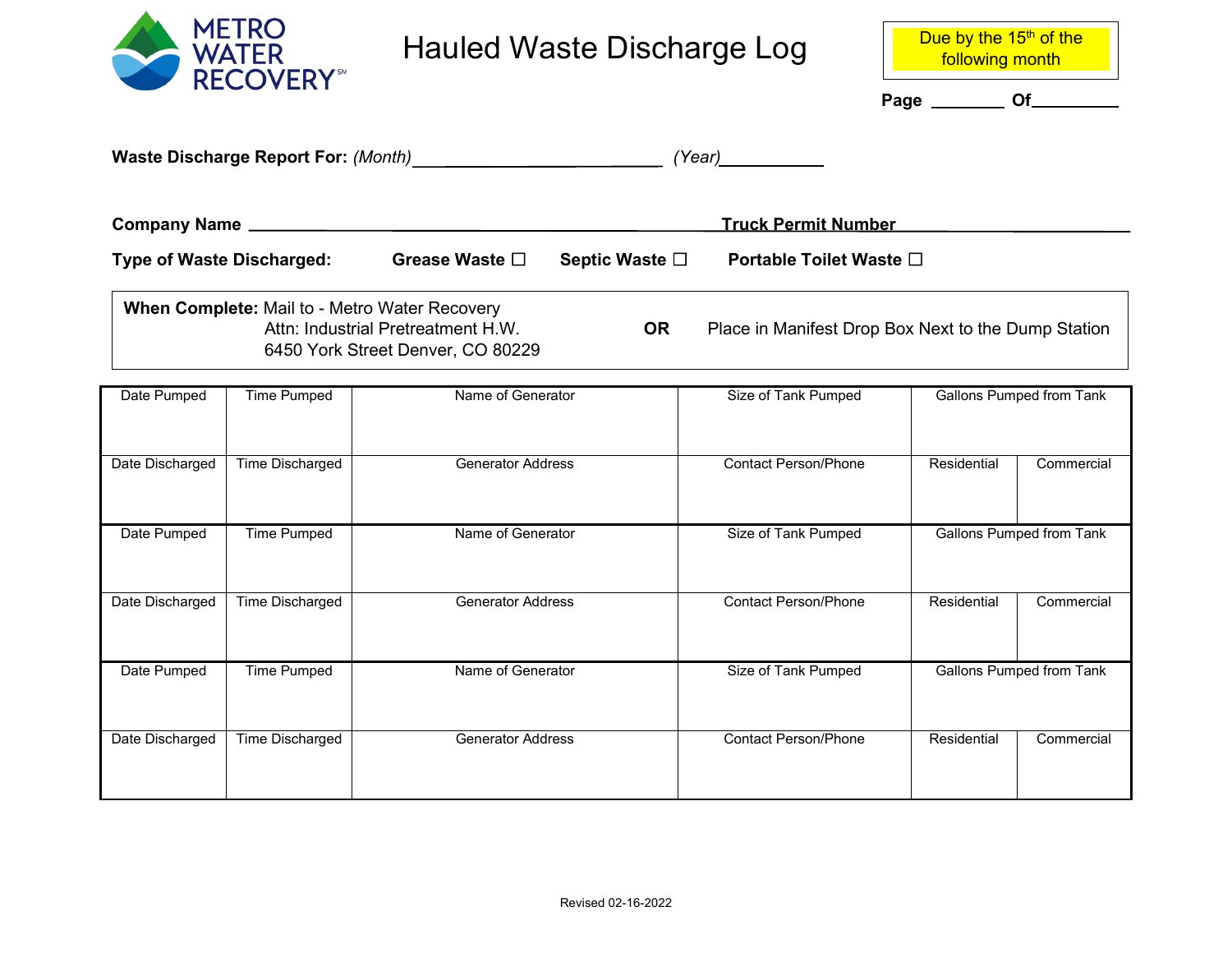

## Hauled Waste Discharge Log Due by the 15<sup>th</sup> of the

following month

Page \_\_\_\_\_\_\_\_\_\_ Of\_\_\_\_

|                                                                                                                                                                                              |                        | Waste Discharge Report For: (Month) |                | (Year)                      |                                 |            |  |
|----------------------------------------------------------------------------------------------------------------------------------------------------------------------------------------------|------------------------|-------------------------------------|----------------|-----------------------------|---------------------------------|------------|--|
|                                                                                                                                                                                              |                        |                                     |                | <b>Truck Permit Number</b>  |                                 |            |  |
| <b>Type of Waste Discharged:</b>                                                                                                                                                             |                        | Grease Waste □                      | Septic Waste □ |                             | Portable Toilet Waste □         |            |  |
| When Complete: Mail to - Metro Water Recovery<br>Attn: Industrial Pretreatment H.W.<br><b>OR</b><br>Place in Manifest Drop Box Next to the Dump Station<br>6450 York Street Denver, CO 80229 |                        |                                     |                |                             |                                 |            |  |
| Date Pumped                                                                                                                                                                                  | <b>Time Pumped</b>     | Name of Generator                   |                | Size of Tank Pumped         | <b>Gallons Pumped from Tank</b> |            |  |
| Date Discharged                                                                                                                                                                              | <b>Time Discharged</b> | <b>Generator Address</b>            |                | <b>Contact Person/Phone</b> | Residential                     | Commercial |  |
| Date Pumped                                                                                                                                                                                  | <b>Time Pumped</b>     | Name of Generator                   |                | Size of Tank Pumped         | <b>Gallons Pumped from Tank</b> |            |  |
| Date Discharged                                                                                                                                                                              | <b>Time Discharged</b> | <b>Generator Address</b>            |                | <b>Contact Person/Phone</b> | Residential                     | Commercial |  |
| Date Pumped                                                                                                                                                                                  | <b>Time Pumped</b>     | Name of Generator                   |                | Size of Tank Pumped         | <b>Gallons Pumped from Tank</b> |            |  |
| Date Discharged                                                                                                                                                                              | <b>Time Discharged</b> | <b>Generator Address</b>            |                | <b>Contact Person/Phone</b> | Residential                     | Commercial |  |